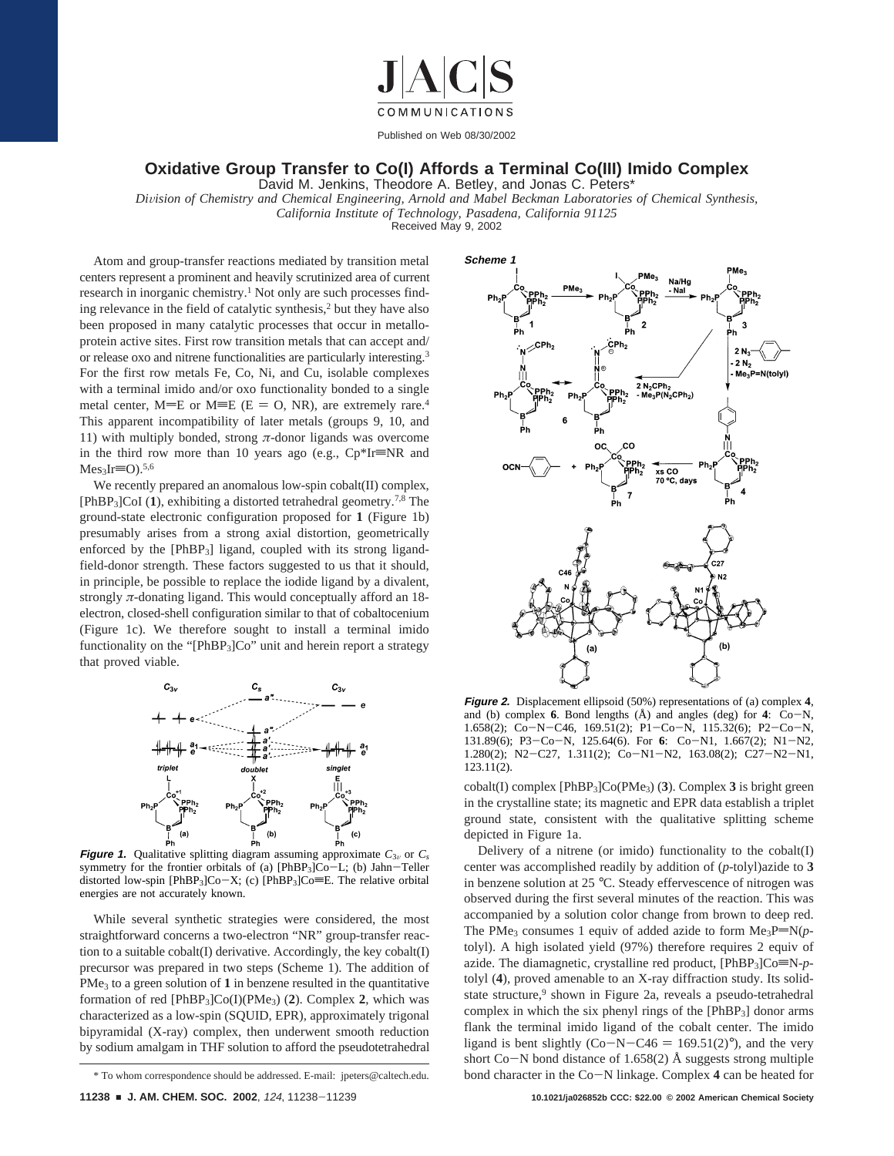

## **Oxidative Group Transfer to Co(I) Affords a Terminal Co(III) Imido Complex**

David M. Jenkins, Theodore A. Betley, and Jonas C. Peters\*

*Di*V*ision of Chemistry and Chemical Engineering, Arnold and Mabel Beckman Laboratories of Chemical Synthesis, California Institute of Technology, Pasadena, California 91125*

Received May 9, 2002

Atom and group-transfer reactions mediated by transition metal centers represent a prominent and heavily scrutinized area of current research in inorganic chemistry.<sup>1</sup> Not only are such processes finding relevance in the field of catalytic synthesis,2 but they have also been proposed in many catalytic processes that occur in metalloprotein active sites. First row transition metals that can accept and/ or release oxo and nitrene functionalities are particularly interesting.3 For the first row metals Fe, Co, Ni, and Cu, isolable complexes with a terminal imido and/or oxo functionality bonded to a single metal center,  $M=E$  or  $M\equiv E$  ( $E = O$ , NR), are extremely rare.<sup>4</sup> This apparent incompatibility of later metals (groups 9, 10, and 11) with multiply bonded, strong *π*-donor ligands was overcome in the third row more than 10 years ago (e.g.,  $Cp*Ir\equiv NR$  and  $Mes<sub>3</sub>Ir=O$ ).<sup>5,6</sup>

We recently prepared an anomalous low-spin cobalt(II) complex, [PhBP3]CoI (**1**), exhibiting a distorted tetrahedral geometry.7,8 The ground-state electronic configuration proposed for **1** (Figure 1b) presumably arises from a strong axial distortion, geometrically enforced by the [PhBP3] ligand, coupled with its strong ligandfield-donor strength. These factors suggested to us that it should, in principle, be possible to replace the iodide ligand by a divalent, strongly *π*-donating ligand. This would conceptually afford an 18 electron, closed-shell configuration similar to that of cobaltocenium (Figure 1c). We therefore sought to install a terminal imido functionality on the " $[PhBP_3]Co$ " unit and herein report a strategy that proved viable.



**Figure 1.** Qualitative splitting diagram assuming approximate  $C_{3v}$  or  $C_s$ symmetry for the frontier orbitals of (a) [PhBP<sub>3</sub>]Co-L; (b) Jahn-Teller distorted low-spin [PhBP<sub>3</sub>]Co-X; (c) [PhBP<sub>3</sub>]Co=E. The relative orbital energies are not accurately known.

While several synthetic strategies were considered, the most straightforward concerns a two-electron "NR" group-transfer reaction to a suitable cobalt(I) derivative. Accordingly, the key cobalt(I) precursor was prepared in two steps (Scheme 1). The addition of  $PMe<sub>3</sub>$  to a green solution of 1 in benzene resulted in the quantitative formation of red [PhBP3]Co(I)(PMe3) (**2**). Complex **2**, which was characterized as a low-spin (SQUID, EPR), approximately trigonal bipyramidal (X-ray) complex, then underwent smooth reduction by sodium amalgam in THF solution to afford the pseudotetrahedral



**Figure 2.** Displacement ellipsoid (50%) representations of (a) complex **4**, and (b) complex **<sup>6</sup>**. Bond lengths (Å) and angles (deg) for **<sup>4</sup>**: Co-N, 1.658(2); Co-N-C46, 169.51(2); P1-Co-N, 115.32(6); P2-Co-N, 131.89(6); P3-Co-N, 125.64(6). For **<sup>6</sup>**: Co-N1, 1.667(2); N1-N2, 1.280(2); N2-C27, 1.311(2); Co-N1-N2, 163.08(2); C27-N2-N1, 123.11(2).

cobalt(I) complex [PhBP3]Co(PMe3) (**3**). Complex **3** is bright green in the crystalline state; its magnetic and EPR data establish a triplet ground state, consistent with the qualitative splitting scheme depicted in Figure 1a.

Delivery of a nitrene (or imido) functionality to the cobalt(I) center was accomplished readily by addition of (*p*-tolyl)azide to **3** in benzene solution at 25 °C. Steady effervescence of nitrogen was observed during the first several minutes of the reaction. This was accompanied by a solution color change from brown to deep red. The PMe<sub>3</sub> consumes 1 equiv of added azide to form  $Me_3P=N(p$ tolyl). A high isolated yield (97%) therefore requires 2 equiv of azide. The diamagnetic, crystalline red product,  $[PhBP_3]Co \equiv N-p$ tolyl (**4**), proved amenable to an X-ray diffraction study. Its solidstate structure,<sup>9</sup> shown in Figure 2a, reveals a pseudo-tetrahedral complex in which the six phenyl rings of the [PhBP3] donor arms flank the terminal imido ligand of the cobalt center. The imido ligand is bent slightly  $(Co-N-C46 = 169.51(2)°)$ , and the very short Co-N bond distance of 1.658(2)  $\AA$  suggests strong multiple \* To whom correspondence should be addressed. E-mail: jpeters@caltech.edu. bond character in the Co-N linkage. Complex **<sup>4</sup>** can be heated for